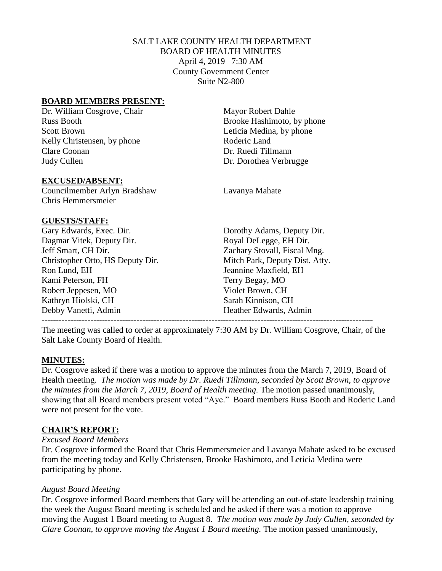# SALT LAKE COUNTY HEALTH DEPARTMENT BOARD OF HEALTH MINUTES April 4, 2019 7:30 AM County Government Center Suite N2-800

## **BOARD MEMBERS PRESENT:**

Dr. William Cosgrove, Chair Mayor Robert Dahle Russ Booth Brooke Hashimoto, by phone Scott Brown Leticia Medina, by phone Kelly Christensen, by phone Roderic Land Clare Coonan Dr. Ruedi Tillmann Judy Cullen Dr. Dorothea Verbrugge

#### **EXCUSED/ABSENT:**

Councilmember Arlyn Bradshaw Lavanya Mahate Chris Hemmersmeier

## **GUESTS/STAFF:**

Gary Edwards, Exec. Dir. Dorothy Adams, Deputy Dir. Dagmar Vitek, Deputy Dir. Royal DeLegge, EH Dir. Jeff Smart, CH Dir. Zachary Stovall, Fiscal Mng. Christopher Otto, HS Deputy Dir. Mitch Park, Deputy Dist. Atty. Ron Lund, EH Jeannine Maxfield, EH Kami Peterson, FH Terry Begay, MO Robert Jeppesen, MO Violet Brown, CH Kathryn Hiolski, CH Sarah Kinnison, CH Debby Vanetti, Admin 
Heather Edwards, Admin

The meeting was called to order at approximately 7:30 AM by Dr. William Cosgrove, Chair, of the Salt Lake County Board of Health.

-------------------------------------------------------------------------------------------------------------------

## **MINUTES:**

Dr. Cosgrove asked if there was a motion to approve the minutes from the March 7, 2019, Board of Health meeting. *The motion was made by Dr. Ruedi Tillmann, seconded by Scott Brown, to approve the minutes from the March 7, 2019, Board of Health meeting.* The motion passed unanimously, showing that all Board members present voted "Aye." Board members Russ Booth and Roderic Land were not present for the vote.

## **CHAIR'S REPORT:**

## *Excused Board Members*

Dr. Cosgrove informed the Board that Chris Hemmersmeier and Lavanya Mahate asked to be excused from the meeting today and Kelly Christensen, Brooke Hashimoto, and Leticia Medina were participating by phone.

## *August Board Meeting*

Dr. Cosgrove informed Board members that Gary will be attending an out-of-state leadership training the week the August Board meeting is scheduled and he asked if there was a motion to approve moving the August 1 Board meeting to August 8. *The motion was made by Judy Cullen, seconded by Clare Coonan, to approve moving the August 1 Board meeting.* The motion passed unanimously,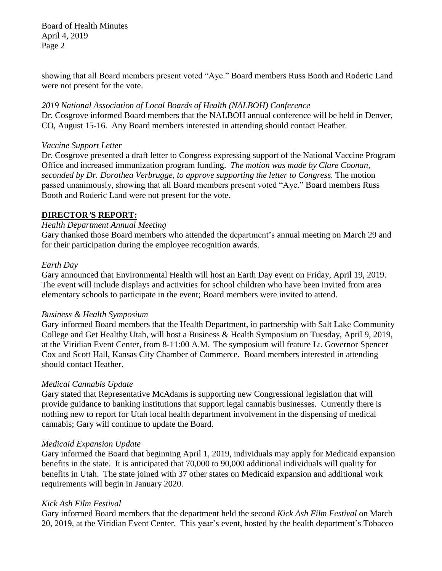Board of Health Minutes April 4, 2019 Page 2

showing that all Board members present voted "Aye." Board members Russ Booth and Roderic Land were not present for the vote.

*2019 National Association of Local Boards of Health (NALBOH) Conference* Dr. Cosgrove informed Board members that the NALBOH annual conference will be held in Denver, CO, August 15-16. Any Board members interested in attending should contact Heather.

## *Vaccine Support Letter*

Dr. Cosgrove presented a draft letter to Congress expressing support of the National Vaccine Program Office and increased immunization program funding. *The motion was made by Clare Coonan, seconded by Dr. Dorothea Verbrugge, to approve supporting the letter to Congress.* The motion passed unanimously, showing that all Board members present voted "Aye." Board members Russ Booth and Roderic Land were not present for the vote.

# **DIRECTOR***'***S REPORT:**

# *Health Department Annual Meeting*

Gary thanked those Board members who attended the department's annual meeting on March 29 and for their participation during the employee recognition awards.

## *Earth Day*

Gary announced that Environmental Health will host an Earth Day event on Friday, April 19, 2019. The event will include displays and activities for school children who have been invited from area elementary schools to participate in the event; Board members were invited to attend.

## *Business & Health Symposium*

Gary informed Board members that the Health Department, in partnership with Salt Lake Community College and Get Healthy Utah, will host a Business & Health Symposium on Tuesday, April 9, 2019, at the Viridian Event Center, from 8-11:00 A.M. The symposium will feature Lt. Governor Spencer Cox and Scott Hall, Kansas City Chamber of Commerce. Board members interested in attending should contact Heather.

# *Medical Cannabis Update*

Gary stated that Representative McAdams is supporting new Congressional legislation that will provide guidance to banking institutions that support legal cannabis businesses. Currently there is nothing new to report for Utah local health department involvement in the dispensing of medical cannabis; Gary will continue to update the Board.

# *Medicaid Expansion Update*

Gary informed the Board that beginning April 1, 2019, individuals may apply for Medicaid expansion benefits in the state. It is anticipated that 70,000 to 90,000 additional individuals will quality for benefits in Utah. The state joined with 37 other states on Medicaid expansion and additional work requirements will begin in January 2020.

# *Kick Ash Film Festival*

Gary informed Board members that the department held the second *Kick Ash Film Festival* on March 20, 2019, at the Viridian Event Center. This year's event, hosted by the health department's Tobacco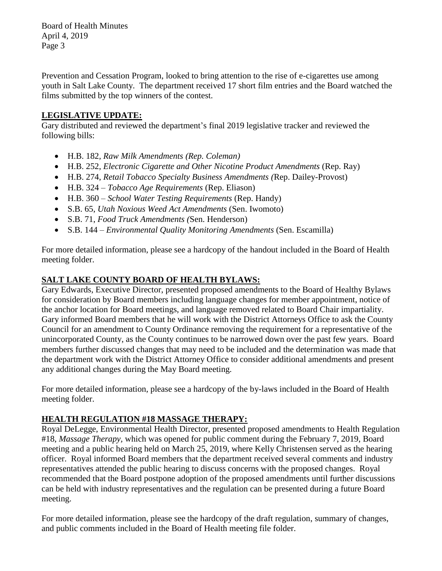Board of Health Minutes April 4, 2019 Page 3

Prevention and Cessation Program, looked to bring attention to the rise of e-cigarettes use among youth in Salt Lake County. The department received 17 short film entries and the Board watched the films submitted by the top winners of the contest.

# **LEGISLATIVE UPDATE:**

Gary distributed and reviewed the department's final 2019 legislative tracker and reviewed the following bills:

- H.B. 182*, Raw Milk Amendments (Rep. Coleman)*
- H.B. 252, *Electronic Cigarette and Other Nicotine Product Amendments* (Rep. Ray)
- H.B. 274, *Retail Tobacco Specialty Business Amendments (*Rep. Dailey-Provost)
- H.B. 324 *Tobacco Age Requirements* (Rep. Eliason)
- H.B. 360 *School Water Testing Requirements* (Rep. Handy)
- S.B. 65, *Utah Noxious Weed Act Amendments* (Sen. Iwomoto)
- S.B. 71, *Food Truck Amendments (*Sen. Henderson)
- S.B. 144 *Environmental Quality Monitoring Amendments* (Sen. Escamilla)

For more detailed information, please see a hardcopy of the handout included in the Board of Health meeting folder.

# **SALT LAKE COUNTY BOARD OF HEALTH BYLAWS:**

Gary Edwards, Executive Director, presented proposed amendments to the Board of Healthy Bylaws for consideration by Board members including language changes for member appointment, notice of the anchor location for Board meetings, and language removed related to Board Chair impartiality. Gary informed Board members that he will work with the District Attorneys Office to ask the County Council for an amendment to County Ordinance removing the requirement for a representative of the unincorporated County, as the County continues to be narrowed down over the past few years. Board members further discussed changes that may need to be included and the determination was made that the department work with the District Attorney Office to consider additional amendments and present any additional changes during the May Board meeting.

For more detailed information, please see a hardcopy of the by-laws included in the Board of Health meeting folder.

# **HEALTH REGULATION #18 MASSAGE THERAPY:**

Royal DeLegge, Environmental Health Director, presented proposed amendments to Health Regulation #18, *Massage Therapy,* which was opened for public comment during the February 7, 2019, Board meeting and a public hearing held on March 25, 2019, where Kelly Christensen served as the hearing officer. Royal informed Board members that the department received several comments and industry representatives attended the public hearing to discuss concerns with the proposed changes. Royal recommended that the Board postpone adoption of the proposed amendments until further discussions can be held with industry representatives and the regulation can be presented during a future Board meeting.

For more detailed information, please see the hardcopy of the draft regulation, summary of changes, and public comments included in the Board of Health meeting file folder.